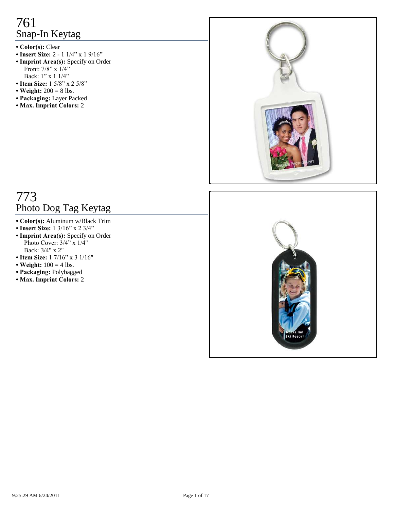- **Color(s):** Clear
- **Insert Size:** 2 1 1/4" x 1 9/16"
- **Imprint Area(s):** Specify on Order Front:  $7/8$ " x  $1/4$ " Back: 1" x 1 1/4"
- **Item Size:** 1 5/8" x 2 5/8"
- Weight:  $200 = 8$  lbs.
- **Packaging:** Layer Packed
- **Max. Imprint Colors:** 2



# 773 Photo Dog Tag Keytag

- **Color(s):** Aluminum w/Black Trim
- **Insert Size:** 1 3/16" x 2 3/4"
- **Imprint Area(s):** Specify on Order Photo Cover: 3/4" x 1/4" Back: 3/4" x 2"
- **Item Size:** 1 7/16" x 3 1/16"
- Weight:  $100 = 4$  lbs.
- **Packaging:** Polybagged
- **Max. Imprint Colors:** 2

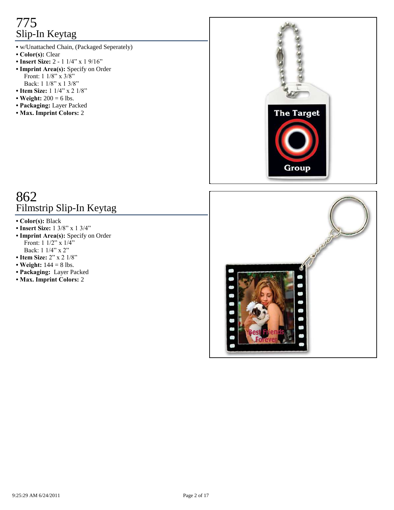# 775 Slip-In Keytag

- **•** w/Unattached Chain, (Packaged Seperately)
- **Color(s):** Clear
- **Insert Size:** 2 1 1/4" x 1 9/16"
- **Imprint Area(s):** Specify on Order Front: 1 1/8" x 3/8" Back: 1 1/8" x 1 3/8"
- **Item Size:** 1 1/4" x 2 1/8"
- Weight:  $200 = 6$  lbs.
- **Packaging:** Layer Packed
- **Max. Imprint Colors:** 2



## 862 Filmstrip Slip-In Keytag

- **Color(s):** Black
- **Insert Size:** 1 3/8" x 1 3/4"
- **Imprint Area(s):** Specify on Order Front:  $1 \frac{1}{2}$ " x  $\frac{1}{4}$ " Back: 1 1/4" x 2"
- **Item Size:** 2" x 2 1/8"
- Weight:  $144 = 8$  lbs.
- **Packaging:** Layer Packed
- **Max. Imprint Colors:** 2

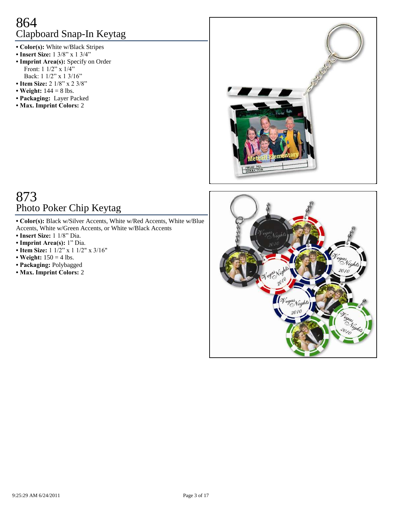# 864 Clapboard Snap-In Keytag

- **Color(s):** White w/Black Stripes
- **Insert Size:** 1 3/8" x 1 3/4"
- **Imprint Area(s):** Specify on Order Front:  $1 \frac{1}{2}$ " x  $\frac{1}{4}$ " Back: 1 1/2" x 1 3/16"
- Item Size: 2 1/8" x 2 3/8"
- Weight:  $144 = 8$  lbs.
- **Packaging:** Layer Packed
- **Max. Imprint Colors:** 2



### 873 Photo Poker Chip Keytag

- **Color(s):** Black w/Silver Accents, White w/Red Accents, White w/Blue Accents, White w/Green Accents, or White w/Black Accents
- **Insert Size:** 1 1/8" Dia.
- **Imprint Area(s):** 1" Dia.
- Item Size:  $1 \frac{1}{2}$ " x  $1 \frac{1}{2}$ " x  $3/16$ "
- Weight:  $150 = 4$  lbs.
- **Packaging:** Polybagged
- **Max. Imprint Colors:** 2

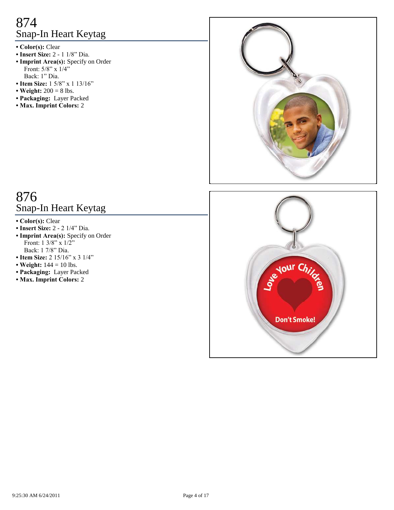# 874 Snap-In Heart Keytag

- **Color(s):** Clear
- **Insert Size:** 2 1 1/8" Dia.
- **Imprint Area(s):** Specify on Order Front: 5/8" x 1/4" Back: 1" Dia.
- **Item Size:** 1 5/8" x 1 13/16"
- Weight:  $200 = 8$  lbs.
- **Packaging:** Layer Packed
- **Max. Imprint Colors:** 2



## 876 Snap-In Heart Keytag

- **Color(s):** Clear
- **Insert Size:** 2 2 1/4" Dia.
- **Imprint Area(s):** Specify on Order Front:  $1 \frac{3}{8}$   $\frac{x}{12}$ Back: 1 7/8" Dia.
- Item Size: 2 15/16" x 3 1/4"
- Weight:  $144 = 10$  lbs.
- **Packaging:** Layer Packed
- **Max. Imprint Colors:** 2

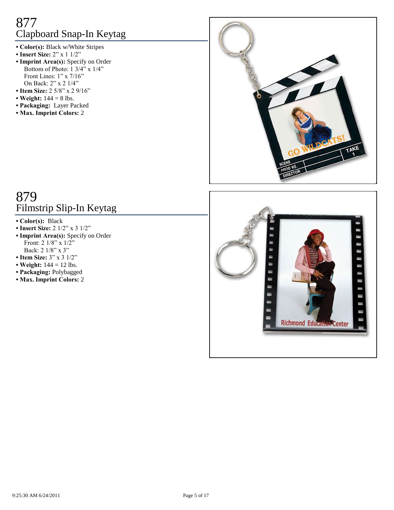# 877 Clapboard Snap-In Keytag

- **Color(s):** Black w/White Stripes
- **Insert Size:** 2" x 1 1/2"
- **Imprint Area(s):** Specify on Order Bottom of Photo:  $1 \frac{3}{4}$ " x  $\frac{1}{4}$ " Front Lines: 1" x 7/16" On Back: 2" x 2 1/4"
- **Item Size:** 2 5/8" x 2 9/16"
- Weight:  $144 = 8$  lbs.
- **Packaging:** Layer Packed
- **Max. Imprint Colors:** 2



# 879 Filmstrip Slip-In Keytag

- **Color(s):** Black
- **Insert Size:** 2 1/2" x 3 1/2"
- **Imprint Area(s):** Specify on Order Front:  $2 \frac{1}{8}$   $\frac{1}{2}$   $\frac{1}{2}$ Back: 2 1/8" x 3"
- Item Size:  $3'' \times 3 \frac{1}{2}$ "
- Weight:  $144 = 12$  lbs.
- **Packaging:** Polybagged
- **Max. Imprint Colors:** 2

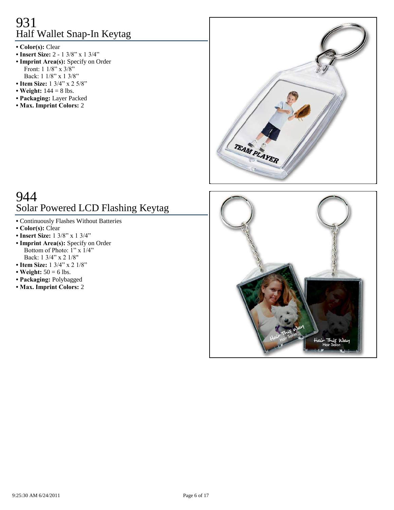# 931 Half Wallet Snap-In Keytag

- **Color(s):** Clear
- **Insert Size:** 2 1 3/8" x 1 3/4"
- **Imprint Area(s):** Specify on Order Front: 1 1/8" x 3/8" Back: 1 1/8" x 1 3/8"
- **Item Size:** 1 3/4" x 2 5/8"
- Weight:  $144 = 8$  lbs.
- **Packaging:** Layer Packed
- **Max. Imprint Colors:** 2



# 944 Solar Powered LCD Flashing Keytag

- **•** Continuously Flashes Without Batteries
- **Color(s):** Clear
- **Insert Size:** 1 3/8" x 1 3/4"
- **Imprint Area(s):** Specify on Order Bottom of Photo: 1" x 1/4" Back: 1 3/4" x 2 1/8"
- **Item Size:** 1 3/4" x 2 1/8"
- Weight:  $50 = 6$  lbs.
- **Packaging:** Polybagged
- **Max. Imprint Colors:** 2

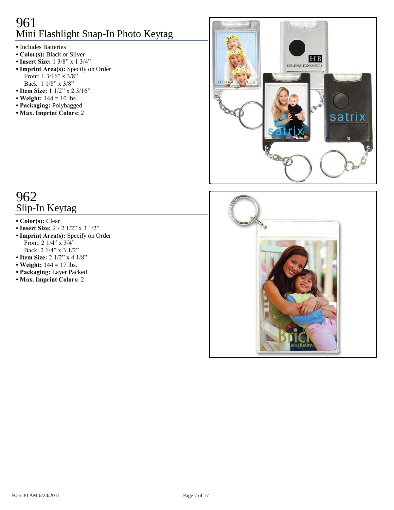# 961 Mini Flashlight Snap-In Photo Keytag

- **•** Includes Batteries
- **Color(s):** Black or Silver
- **Insert Size:** 1 3/8" x 1 3/4"
- **Imprint Area(s):** Specify on Order Front: 1 3/16" x 3/8" Back: 1 1/8" x 3/8"
- Item Size: 1 1/2" x 2 3/16"
- Weight:  $144 = 10$  lbs.
- **Packaging:** Polybagged
- **Max. Imprint Colors:** 2



### 962 Slip-In Keytag

#### **• Color(s):** Clear

- Insert Size: 2 2 1/2" x 3 1/2"
- **Imprint Area(s):** Specify on Order Front:  $2 \frac{1}{4}$ " x  $\frac{3}{4}$ " Back: 2 1/4" x 3 1/2"
- Item Size: 2 1/2" x 4 1/8"
- Weight:  $144 = 17$  lbs.
- **Packaging:** Layer Packed
- **Max. Imprint Colors:** 2

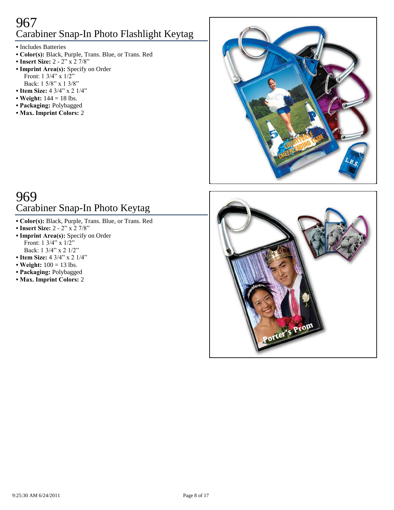### 967 Carabiner Snap-In Photo Flashlight Keytag

- **•** Includes Batteries
- **Color(s):** Black, Purple, Trans. Blue, or Trans. Red
- Insert Size: 2 2" x 2 7/8"
- **Imprint Area(s):** Specify on Order Front: 1 3/4" x 1/2" Back: 1 5/8" x 1 3/8"
- Item Size: 4 3/4" x 2 1/4"
- **Weight:** 144 = 18 lbs.
- **Packaging:** Polybagged
- **Max. Imprint Colors:** 2



# 969 Carabiner Snap-In Photo Keytag

- **Color(s):** Black, Purple, Trans. Blue, or Trans. Red
- **Insert Size:** 2 2" x 2 7/8"
- **Imprint Area(s):** Specify on Order Front: 1 3/4" x 1/2" Back: 1 3/4" x 2 1/2"
- Item Size: 4 3/4" x 2 1/4"
- Weight:  $100 = 13$  lbs.
- **Packaging:** Polybagged
- **Max. Imprint Colors:** 2

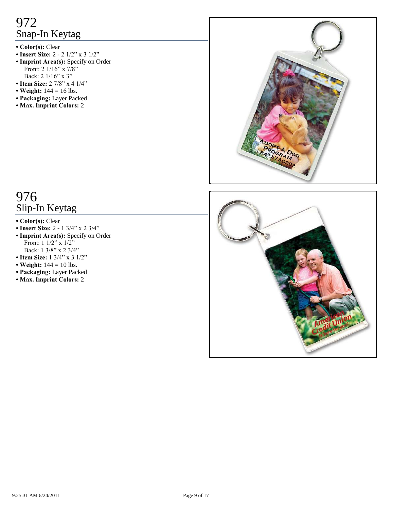- **Color(s):** Clear
- Insert Size: 2 2 1/2" x 3 1/2"
- **Imprint Area(s):** Specify on Order Front: 2 1/16" x 7/8" Back: 2 1/16" x 3"
- Item Size: 2 7/8" x 4 1/4"
- Weight:  $144 = 16$  lbs.
- **Packaging:** Layer Packed
- **Max. Imprint Colors:** 2



### 976 Slip-In Keytag

#### **• Color(s):** Clear

- **Insert Size:** 2 1 3/4" x 2 3/4"
- **Imprint Area(s):** Specify on Order Front: 1 1/2" x 1/2" Back: 1 3/8" x 2 3/4"
- **Item Size:** 1 3/4" x 3 1/2"
- Weight:  $144 = 10$  lbs.
- **Packaging:** Layer Packed
- **Max. Imprint Colors:** 2

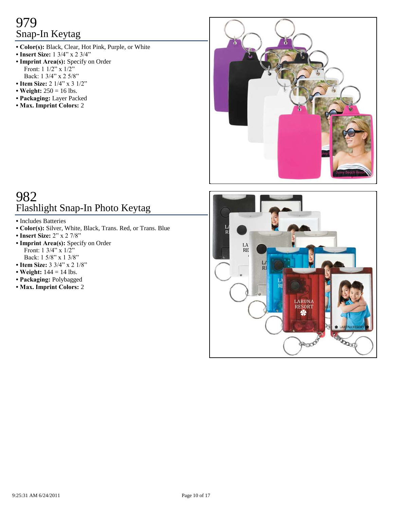- **Color(s):** Black, Clear, Hot Pink, Purple, or White
- **Insert Size:** 1 3/4" x 2 3/4"
- **Imprint Area(s):** Specify on Order Front:  $1 \frac{1}{2}$ " x  $\frac{1}{2}$ " Back: 1 3/4" x 2 5/8"
- Item Size: 2 1/4" x 3 1/2"
- Weight:  $250 = 16$  lbs.
- **Packaging:** Layer Packed
- **Max. Imprint Colors:** 2



# 982 Flashlight Snap-In Photo Keytag

- **•** Includes Batteries
- **Color(s):** Silver, White, Black, Trans. Red, or Trans. Blue
- **Insert Size:** 2" x 2 7/8"
- **Imprint Area(s):** Specify on Order Front:  $1 \frac{3}{4}$ " x  $\frac{1}{2}$ " Back: 1 5/8" x 1 3/8"
- **Item Size:** 3 3/4" x 2 1/8"
- Weight:  $144 = 14$  lbs.
- **Packaging:** Polybagged
- **Max. Imprint Colors:** 2

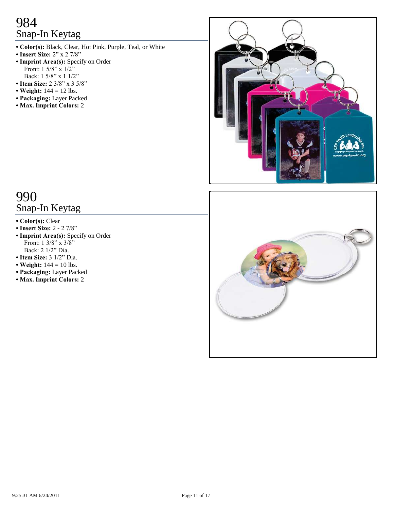- **Color(s):** Black, Clear, Hot Pink, Purple, Teal, or White
- **Insert Size:**  $2^{n}$  x 2 7/8"
- **Imprint Area(s):** Specify on Order Front: 1 5/8" x 1/2" Back: 1 5/8" x 1 1/2"
- **Item Size:** 2 3/8" x 3 5/8"
- Weight:  $144 = 12$  lbs.
- **Packaging:** Layer Packed
- **Max. Imprint Colors:** 2



### 990 Snap-In Keytag

- **Color(s):** Clear
- **Insert Size:** 2 2 7/8"
- **Imprint Area(s):** Specify on Order Front: 1 3/8" x 3/8" Back: 2 1/2" Dia.
- **Item Size:** 3 1/2" Dia.
- Weight:  $144 = 10$  lbs.
- **Packaging:** Layer Packed
- **Max. Imprint Colors:** 2

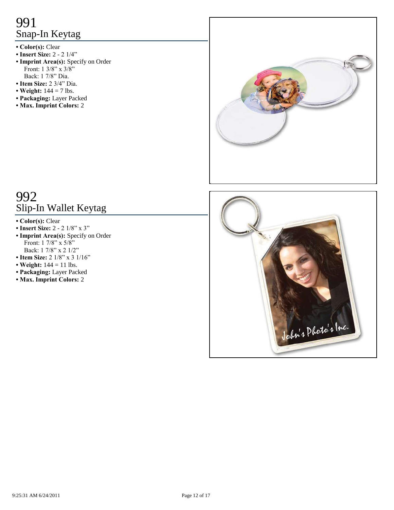- **Color(s):** Clear
- **Insert Size:** 2 2 1/4"
- **Imprint Area(s):** Specify on Order Front: 1 3/8" x 3/8" Back: 1 7/8" Dia.
- **Item Size:** 2 3/4" Dia.
- Weight:  $144 = 7$  lbs.
- **Packaging:** Layer Packed
- **Max. Imprint Colors:** 2



# 992 Slip-In Wallet Keytag

- **Color(s):** Clear
- **Insert Size:** 2 2 1/8" x 3"
- **Imprint Area(s):** Specify on Order Front:  $1 \frac{7}{8}$  x  $\frac{5}{8}$ Back: 1 7/8" x 2 1/2"
- Item Size: 2 1/8" x 3 1/16"
- Weight:  $144 = 11$  lbs.
- **Packaging:** Layer Packed
- **Max. Imprint Colors:** 2

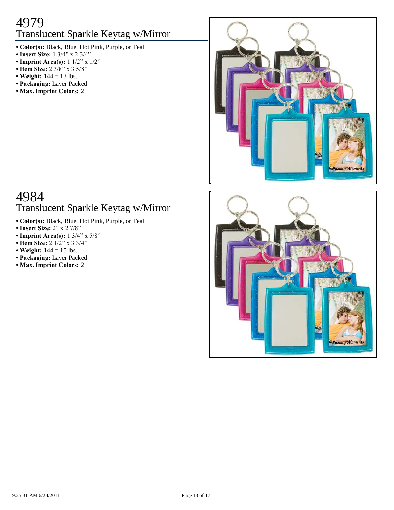### 4979 Translucent Sparkle Keytag w/Mirror

- **Color(s):** Black, Blue, Hot Pink, Purple, or Teal
- **Insert Size:** 1 3/4" x 2 3/4"
- **Imprint Area(s):** 1 1/2" x 1/2"
- Item Size: 2 3/8" x 3 5/8"
- **Weight:** 144 = 13 lbs.
- **Packaging:** Layer Packed
- **Max. Imprint Colors:** 2



# 4984 Translucent Sparkle Keytag w/Mirror

- **Color(s):** Black, Blue, Hot Pink, Purple, or Teal
- **Insert Size:** 2" x 2 7/8"
- **Imprint Area(s):** 1 3/4" x 5/8"
- Item Size: 2 1/2" x 3 3/4"
- Weight:  $144 = 15$  lbs.
- **Packaging:** Layer Packed
- **Max. Imprint Colors:** 2

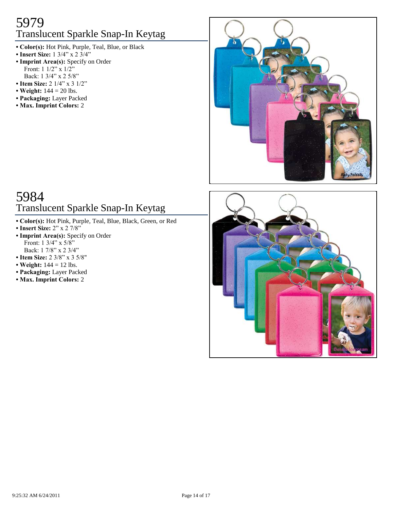### 5979 Translucent Sparkle Snap-In Keytag

- **Color(s):** Hot Pink, Purple, Teal, Blue, or Black
- **Insert Size:** 1 3/4" x 2 3/4"
- **Imprint Area(s):** Specify on Order Front:  $1 \frac{1}{2}$ " x  $\frac{1}{2}$ " Back: 1 3/4" x 2 5/8"
- Item Size: 2 1/4" x 3 1/2"
- Weight:  $144 = 20$  lbs.
- **Packaging:** Layer Packed
- **Max. Imprint Colors:** 2



# 5984 Translucent Sparkle Snap-In Keytag

- **Color(s):** Hot Pink, Purple, Teal, Blue, Black, Green, or Red
- **Insert Size:** 2" x 2 7/8"
- **Imprint Area(s):** Specify on Order Front:  $1 \frac{3}{4}$ " x  $\frac{5}{8}$ " Back: 1 7/8" x 2 3/4"
- **Item Size:** 2 3/8" x 3 5/8"
- **Weight:**  $144 = 12$  lbs.
- **Packaging:** Layer Packed
- **Max. Imprint Colors:** 2

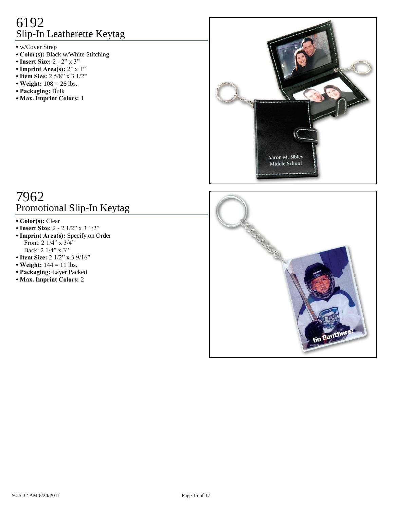# 6192 Slip-In Leatherette Keytag

**•** w/Cover Strap

- **Color(s):** Black w/White Stitching
- **Insert Size:** 2 2" x 3"
- **Imprint Area(s):**  $2'' \times 1''$
- **Item Size:** 2 5/8" x 3 1/2"
- Weight:  $108 = 26$  lbs.
- **Packaging:** Bulk
- **Max. Imprint Colors:** 1



# 7962 Promotional Slip-In Keytag

- **Color(s):** Clear
- Insert Size: 2 2 1/2" x 3 1/2"
- **Imprint Area(s):** Specify on Order Front: 2 1/4" x 3/4" Back: 2 1/4" x 3"
- Item Size: 2 1/2" x 3 9/16"
- Weight:  $144 = 11$  lbs.
- **Packaging:** Layer Packed
- **Max. Imprint Colors:** 2

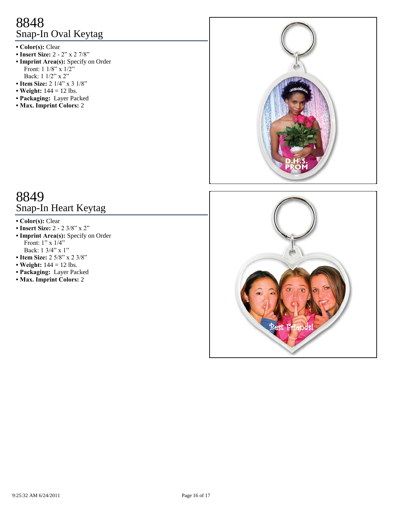# 8848 Snap-In Oval Keytag

- **Color(s):** Clear
- **Insert Size:** 2 2" x 2 7/8"
- **Imprint Area(s):** Specify on Order Front:  $1 \frac{1}{8" \times 1/2"$ Back: 1 1/2" x 2"
- Item Size: 2 1/4" x 3 1/8"
- Weight:  $144 = 12$  lbs.
- **Packaging:** Layer Packed
- **Max. Imprint Colors:** 2



### 8849 Snap-In Heart Keytag

- **Color(s):** Clear
- **Insert Size:** 2 2 3/8" x 2"
- **Imprint Area(s):** Specify on Order Front: 1" x 1/4" Back: 1 3/4" x 1"
- **Item Size:** 2 5/8" x 2 3/8"
- Weight:  $144 = 12$  lbs.
- **Packaging:** Layer Packed
- **Max. Imprint Colors:** 2